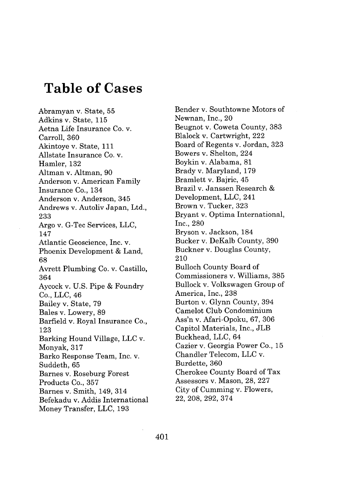# **Table of Cases**

Abramyan v. State, **55** Adkins v. State, **115** Aetna Life Insurance Co. v. Carroll, **360** Akintoye v. State, **111** Allstate Insurance Co. v. Hamler, **132** Altman v. Altman, **90** Anderson v. American Family Insurance Co., 134 Anderson v. Anderson, 345 Andrews v. Autoliv Japan, Ltd., **233** Argo v. G-Tec Services, **LLC,** 147 Atlantic Geoscience, Inc. v. Phoenix Development **&** Land, **68** Avrett Plumbing Co. v. Castillo, 364 Aycock v. **U.S.** Pipe **&** Foundry Co., **LLC,** 46 Bailey v. State, **79** Bales v. Lowery, **89** Barfield v. Royal Insurance Co., **123** Barking Hound Village, **LLC** v. Monyak, **317** Barko Response Team, Inc. v. Suddeth, **65** Barnes v. Roseburg Forest Products Co., **357** Barnes v. Smith, 149, 314 Befekadu v. Addis International Money Transfer, **LLC, 193**

Bender v. Southtowne Motors of Newnan, Inc., 20 Beugnot v. Coweta County, **383** Blalock v. Cartwright, 222 Board of Regents v. Jordan, **323** Bowers v. Shelton, 224 Boykin v. Alabama, **81** Brady v. Maryland, **179** Bramlett v. Bajric, 45 Brazil v. Janssen Research Development, **LLC,** 241 Brown v. Tucker, **323** Bryant v. Optima International, Inc., **280** Bryson v. Jackson, 184 Bucker v. DeKalb County, **390** Buckner v. Douglas County, 210 Bulloch County Board of Commissioners v. Williams, **385** Bullock v. Volkswagen Group of America, Inc., **238** Burton v. Glynn County, 394 Camelot Club Condominium Ass'n v. Afari-Opoku, **67, 306** Capitol Materials, Inc., **JLB** Buckhead, **LLC,** 64 Cazier v. Georgia Power Co., **15** Chandler Telecom, **LLC** v. Burdette, **360** Cherokee County Board of Tax Assessors v. Mason, **28, 227** City of Cumming v. Flowers, **22, 208, 292, 374**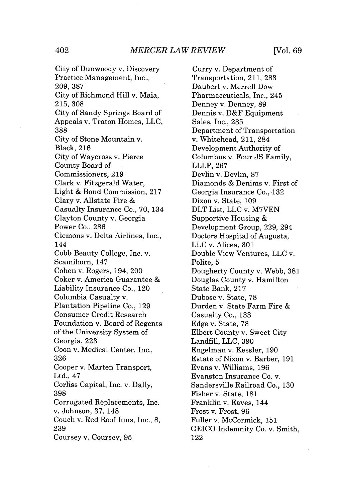*MERCER LAW REVIEW* 402 [Vol. **69**

City of Dunwoody v. Discovery Practice Management, Inc., **209, 387** City of Richmond Hill v. Maia, **215, 308** City of Sandy Springs Board of Appeals v. Traton Homes, **LLC, 388** City of Stone Mountain v. Black, **216** City of Waycross v. Pierce County Board of Commissioners, **219** Clark v. Fitzgerald Water, Light **&** Bond Commission, **217** Clary v. Allstate Fire Casualty Insurance Co., **70,** 134 Clayton County v. Georgia Power Co., **286** Clemons v. Delta Airlines, Inc., 144 Cobb Beauty College, Inc. v. Scamihorn, 147 Cohen v. Rogers, 194, 200 Coker v. America Guarantee Liability Insurance Co., 120 Columbia Casualty v. Plantation Pipeline Co., **129** Consumer Credit Research Foundation v. Board of Regents of the University System of Georgia, **223** Coon v. Medical Center, Inc., **326** Cooper v. Marten Transport, Ltd., 47 Corliss Capital, Inc. v. Dally, **398** Corrugated Replacements, Inc. v. Johnson, **37,** 148 Couch v. Red Roof Inns, Inc., **8, 239** Coursey v. Coursey, **95**

Curry v. Department of Transportation, 211, **283** Daubert v. Merrell Dow Pharmaceuticals, Inc., 245 Denney v. Denney, **89** Dennis v. D&F Equipment Sales, Inc., **235** Department of Transportation v. Whitehead, 211, 284 Development Authority of Columbus v. Four **JS** Family, LLLP, **267** Devlin v. Devlin, **87** Diamonds **&** Denims v. First of Georgia Insurance Co., **132** Dixon v. State, **109** DLT List, **LLC** v. **M7VEN** Supportive Housing & Development Group, **229,** 294 Doctors Hospital of Augusta, **LLC** v. Alicea, **301** Double View Ventures, **LLC** v. Polite, **5** Dougherty County v. Webb, **381** Douglas County v. Hamilton State Bank, **217** Dubose v. State, **78** Durden v. State Farm Fire Casualty Co., **133** Edge v. State, **78** Elbert County v. Sweet City Landfill, **LLC, 390** Engelman v. Kessler, **190** Estate of Nixon v. Barber, **191** Evans v. Williams, **196** Evanston Insurance Co. v. Sandersville Railroad Co., **130** Fisher v. State, **181** Franklin v. Eaves, 144 Frost v. Frost, **96** Fuller v. McCormick, **151 GEICO** Indemnity Co. v. Smith, 122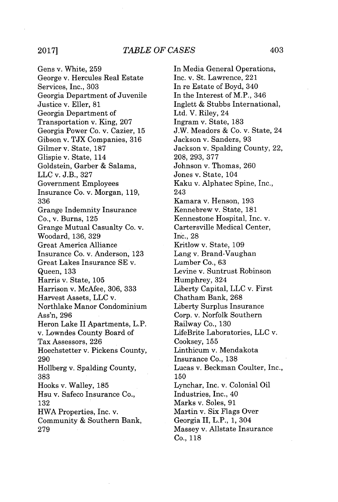Gens v. White, **259** George v. Hercules Real Estate Services, Inc., **303** Georgia Department of Juvenile Justice v. Eller, **81** Georgia Department of Transportation v. King, **207** Georgia Power Co. v. Cazier, **15** Gibson v. **TJX** Companies, **316** Gilmer v. State, **187** Glispie v. State, 114 Goldstein, Garber **&** Salama, **LLC** v. **J.B., 327** Government Employees Insurance Co. v. Morgan, **119, 336** Grange Indemnity Insurance Co., v. Burns, **125** Grange Mutual Casualty Co. v. Woodard, **136, 329** Great America Alliance Insurance Co. v. Anderson, **123** Great Lakes Insurance **SE** v. Queen, **133** Harris v. State, **105** Harrison v. McAfee, **306, 333** Harvest Assets, **LLC** v. Northlake Manor Condominium Ass'n, **296** Heron Lake II Apartments, L.P. v. Lowndes County Board of Tax Assessors, **226** Hoechstetter v. Pickens County, **290** Hollberg v. Spalding County, **383** Hooks v. Walley, **185** Hsu v. Safeco Insurance Co., **132** HWA Properties, Inc. v. Community **&** Southern Bank, **279**

In Media General Operations, Inc. v. St. Lawrence, 221 In re Estate of Boyd, 340 In the Interest of M.P., 346 Inglett **&** Stubbs International, Ltd. V. Riley, 24 Ingram v. State, **183 J.W.** Meadors **&** Co. v. State, 24 Jackson v. Sanders, **93** Jackson v. Spalding County, 22, **208, 293, 377** Johnson v. Thomas, **260** Jones v. State, 104 Kaku v. Alphatec Spine, Inc., 243 Kamara v. Henson, **193** Kennebrew v. State, **181** Kennestone Hospital, Inc. v. Cartersville Medical Center, Inc., **28** Kritlow v. State, **109** Lang v. Brand-Vaughan Lumber Co., **63** Levine v. Suntrust Robinson Humphrey, 324 Liberty Capital, **LLC** v. First Chatham Bank, **268** Liberty Surplus Insurance Corp. v. Norfolk Southern Railway Co., **130** LifeBrite Laboratories, **LLC** v. Cooksey, 155 Linthicum v. Mendakota Insurance Co., **138** Lucas v. Beckman Coulter, Inc., **150** Lynchar, Inc. v. Colonial Oil Industries, Inc., 40 Marks v. Soles, **91** Martin v. Six Flags Over Georgia II, L.P., **1,** 304 Massey v. Allstate Insurance Co., **118**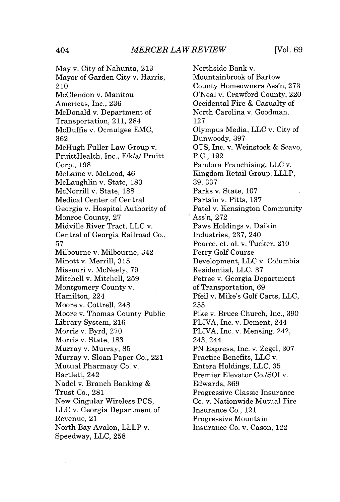May v. City of Nahunta, **213** Mayor of Garden City v. Harris, 210 McClendon v. Manitou Americas, Inc., **236** McDonald v. Department of Transportation, 211, 284 McDuffie v. Ocmulgee **EMC, 362** McHugh Fuller Law Group v. PruittHealth, Inc., F/k/a/ Pruitt Corp., **198** McLaine v. McLeod, 46 McLaughlin v. State, **183** McNorrill v. State, **188** Medical Center of Central Georgia v. Hospital Authority of Monroe County, **27** Midville River Tract, **LLC** v. Central of Georgia Railroad Co., **57** Milbourne v. Milbourne, 342 Minott v. Merrill, **315** Missouri v. McNeely, **79** Mitchell v. Mitchell, **259** Montgomery County v. Hamilton, 224 Moore v. Cottrell, 248 Moore v. Thomas County Public Library System, **216** Morris v. Byrd, **270** Morris v. State, **183** Murray v. Murray, **85.** Murray v. Sloan Paper Co., 221 Mutual Pharmacy Co. v. Bartlett, 242 Nadel v. Branch Banking Trust Co., **281** New Cingular Wireless **PCS, LLC** v. Georgia Department of Revenue, 21 North Bay Avalon, LLLP v. Speedway, **LLC, 258**

Northside Bank v. Mountainbrook of Bartow County Homeowners Ass'n, **273** O'Neal v. Crawford County, 220 Occidental Fire **&** Casualty of North Carolina v. Goodman, **127** Olympus Media, **LLC** v. City of Dunwoody, **397 OTS,** Inc. v. Weinstock **&** Scavo, **P.C., 192** Pandora Franchising, **LLC** v. Kingdom Retail Group, LLLP, **39, 337** Parks v. State, **107** Partain v. Pitts, **137** Patel v. Kensington Community Ass'n, **272** Paws Holdings v. Daikin Industries, **237,** 240 Pearce, et. al. v. Tucker, 210 Perry Golf Course Development, **LLC** v. Columbia Residential, **LLC, 37** Petree v. Georgia Department of Transportation, **69** Pfeil v. Mike's Golf Carts, **LLC, 233** Pike v. Bruce Church, Inc., **390** PLIVA, Inc. v. Dement, 244 PLIVA, Inc. v. Mensing, 242, 243, 244 **PN** Express, Inc. v. Zegel, **307** Practice Benefits, **LLC** v. Entera Holdings, **LLC, 35** Premier Elevator Co./SOI v. Edwards, **369** Progressive Classic Insurance Co. v. Nationwide Mutual Fire Insurance Co., 121 Progressive Mountain Insurance Co. v. Cason, 122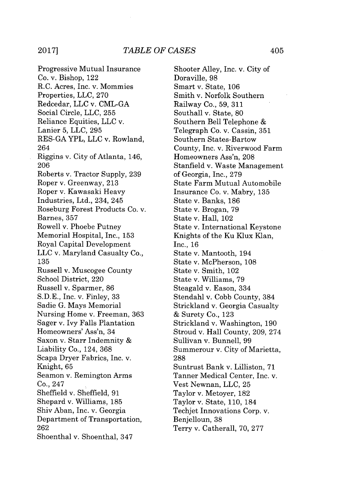Progressive Mutual Insurance Co. v. Bishop, 122 R.C. Acres, Inc. v. Mommies Properties, **LLC, 270** Redcedar, **LLC** v. **CML-GA** Social Circle, **LLC, 255** Reliance Equities, **LLC** v. Lanier **5, LLC, 295 RES-GA** YPL, **LLC** v. Rowland, 264 Riggins v. City of Atlanta, 146, **206** Roberts v. Tractor Supply, **239** Roper v. Greenway, **213** Roper v. Kawasaki Heavy Industries, Ltd., 234, 245 Roseburg Forest Products Co. v. Barnes, 357 Rowell v. Phoebe Putney Memorial Hospital, Inc., **153** Royal Capital Development **LLC** v. Maryland Casualty Co., **135** Russell v. Muscogee County School District, 220 Russell v. Sparmer, **86 S.D.E.,** Inc. v. Finley, **33** Sadie **G.** Mays Memorial Nursing Home v. Freeman, **363** Sager v. Ivy Falls Plantation Homeowners' Ass'n, 34 Saxon v. Starr Indemnity & Liability Co., 124, **368** Scapa Dryer Fabrics, Inc. v. Knight, 65 Seamon v. Remington Arms Co., 247 Sheffield v. Sheffield, **91** Shepard v. Williams, **185** Shiv Aban, Inc. v. Georgia Department of Transportation, **262** Shoenthal v. Shoenthal, 347

Shooter Alley, Inc. v. City of Doraville, **98** Smart v. State, **106** Smith v. Norfolk Southern Railway Co., **59, 311** Southall v. State, **80** Southern Bell Telephone Telegraph Co. v. Cassin, **351** Southern States-Bartow County, Inc. v. Riverwood Farm Homeowners Ass'n, **208** Stanfield v. Waste Management of Georgia, Inc., **279** State Farm Mutual Automobile Insurance Co. v. Mabry, **135** State v. Banks, **186** State v. Brogan, **79** State v. Hall, 102 State v. International Keystone Knights of the Ku Klux Klan, Inc., **16** State v. Mantooth, 194 State v. McPherson, **108** State v. Smith, 102 State v. Williams, **79** Steagald v. Eason, 334 Stendahl v. Cobb County, 384 Strickland v. Georgia Casualty **&** Surety Co., **123** Strickland v. Washington, **190** Stroud v. Hall County, **209,** 274 Sullivan v. Bunnell, **99** Summerour v. City of Marietta, **288** Suntrust Bank v. Lilliston, **71** Tanner Medical Center, Inc. v. Vest Newnan, **LLC, 25** Taylor v. Metoyer, **182** Taylor v. State, **110,** 184 Techjet Innovations Corp. v. Benjelloun, **38** Terry v. Catherall, **70, 277**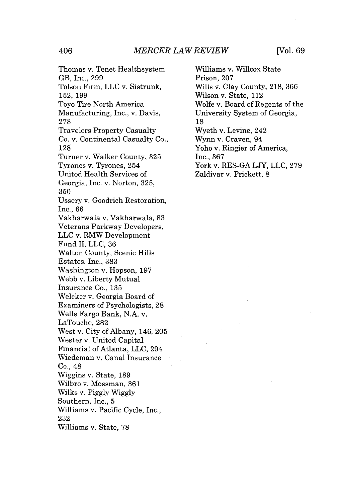## *MERCER LAW REVIEW* 406 [Vol. **69**

Thomas v. Tenet Healthsystem GB, Inc., **299** Tolson Firm, **LLC** v. Sistrunk, **152, 199** Toyo Tire North America Manufacturing, Inc., v. Davis, **278** Travelers Property Casualty Co. v. Continental Casualty Co., **128** Turner v. Walker County, **325** Tyrones v. Tyrones, 254 United Health Services of Georgia, Inc. v. Norton, **325, 350** Ussery v. Goodrich Restoration, Inc., **66** Vakharwala v. Vakharwala, **83** Veterans Parkway Developers, **LLC** v. RMW Development Fund II, **LLC, 36** Walton County, Scenic Hills Estates, Inc., **383** Washington v. Hopson, **197** Webb v. Liberty Mutual Insurance Co., **135** Welcker v. Georgia Board of Examiners of Psychologists, **28** Wells Fargo Bank, **N.A.** v. LaTouche, **282** West v. City of Albany, 146, **205** Wester v. United Capital Financial of Atlanta, **LLC,** 294 Wiedeman v. Canal Insurance Co., 48 Wiggins v. State, **189** Wilbro v. Mossman, **361** Wilks v. **Piggly Wiggly** Southern, Inc., **5** Williams v. Pacific Cycle, Inc., **232**

Williams v. State, **78**

Williams v. Willcox State Prison, **207** Wills v. Clay County, **218, 366** Wilson v. State, 112 Wolfe v. Board of Regents of the University System of Georgia, **18** Wyeth v. Levine, 242 Wynn v. Craven, 94 Yoho v. Ringier of America, Inc., **367** York v. **RES-GA LJY, LLC, 279** Zaldivar v. Prickett, **8**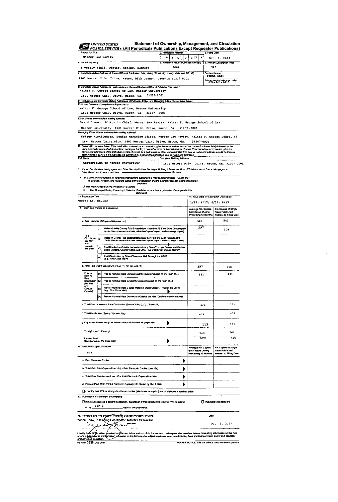| 1 Publication Title                               |                | POSTAL SERVICE . (All Periodicals Publications Except Requester Publications)                                                                                                                                                                                                                           | 2. Publication Number                          |                         |                                                                                                                                | 3. Filing Date                                 |                                                                          |  |
|---------------------------------------------------|----------------|---------------------------------------------------------------------------------------------------------------------------------------------------------------------------------------------------------------------------------------------------------------------------------------------------------|------------------------------------------------|-------------------------|--------------------------------------------------------------------------------------------------------------------------------|------------------------------------------------|--------------------------------------------------------------------------|--|
| Mercer Law Review                                 |                |                                                                                                                                                                                                                                                                                                         | I٥<br>$\bullet$<br>$\overline{2}$              | J.<br>$\mathsf{s}$<br>9 | $8 \mid 7$<br>x                                                                                                                |                                                | Oct. 1, 2017                                                             |  |
| 4 Issue Frequency                                 |                | 4 yearly (fall, winter, spring, summer)                                                                                                                                                                                                                                                                 | 5. Number of Issues Published Annually<br>four |                         |                                                                                                                                |                                                | 6. Annual Subscription Price<br>\$40                                     |  |
|                                                   |                | 7 Complete Mailling Address of Known Office of Publication (Not printer) (Street, city, county, state, and ZIP+4*)                                                                                                                                                                                      |                                                |                         |                                                                                                                                |                                                | Cortad Person<br>Yonna Shaw                                              |  |
|                                                   |                | 1501 Mercer Univ. Drive, Macon, Bibb County, Georgia 31207-0001                                                                                                                                                                                                                                         |                                                |                         |                                                                                                                                |                                                | elephone (include area code)<br>478 - 101 - 2622                         |  |
|                                                   |                | 8. Complete Mailing Address of Headquarters or General Business Office of Publisher (Not printer)                                                                                                                                                                                                       |                                                |                         |                                                                                                                                |                                                |                                                                          |  |
|                                                   |                | Walter F. George School of Law, Mercer University<br>1501 Mercer Univ. Drive, Macon, Ga. 31207-0001                                                                                                                                                                                                     |                                                |                         |                                                                                                                                |                                                |                                                                          |  |
|                                                   |                | 9. Full Names and Complete Mating Addresses of Publisher, Editor, and Managing Editor (Do not leave blank)                                                                                                                                                                                              |                                                |                         |                                                                                                                                |                                                |                                                                          |  |
|                                                   |                | Publisher (Name and complete mailing address)<br>Walter F. George School of Law, Mercer University                                                                                                                                                                                                      |                                                |                         |                                                                                                                                |                                                |                                                                          |  |
|                                                   |                | 1501 Mercer Univ. Drive, Macon, Ga. 31207 -0001<br>Editor (Name and complete mailing address)                                                                                                                                                                                                           |                                                |                         |                                                                                                                                |                                                |                                                                          |  |
|                                                   |                | David Cromer, Editor in Chief, Mercer Law Review, Walter P. George School of Law                                                                                                                                                                                                                        |                                                |                         |                                                                                                                                |                                                |                                                                          |  |
|                                                   |                | Mercer University, 1501 Mercer Univ. Drive, Macon, Ga. 31207-0001<br>Managing Editor (Nerne and complete mealing address)                                                                                                                                                                               |                                                |                         |                                                                                                                                |                                                |                                                                          |  |
|                                                   |                | Kelsey Kicklighter, Senior Managing Editor, Mercer Law Review, Walter F. George School of                                                                                                                                                                                                               |                                                |                         |                                                                                                                                |                                                |                                                                          |  |
|                                                   |                | Law, Mercer University, 1501 Mercer Univ. Drive, Macon, Ga.<br>10. Owner (Do not leave blank if the publication is owned by a corporation, give the name and address of the corporation immediately tokowed by the                                                                                      |                                                |                         | 31207-0001                                                                                                                     |                                                |                                                                          |  |
|                                                   |                | ames and addresses of all stockholders owning or holding 1 percent or more of the lotal amount of stock. If not owned by a corporation, give the<br>names and addresses of the individual owners. If owned by a perimerable or other unincorporated firm, give its name and address as well as those of |                                                |                         |                                                                                                                                |                                                |                                                                          |  |
| Full Name                                         |                | each individual owner. If the publication is published by a nonprofit organization, give its name and address.)                                                                                                                                                                                         | Complete Mailing Address                       |                         |                                                                                                                                |                                                |                                                                          |  |
|                                                   |                | Corporation of Mercer University                                                                                                                                                                                                                                                                        |                                                |                         |                                                                                                                                | 1501 Marcer Univ. Drive, Macon, Ga. 31207-0001 |                                                                          |  |
|                                                   |                | 11. Known Bondholders, Mortgagees, and Chine Security Holders Owning or Hobbing 1 Percent or More of Total Amount of Bonds, Mortgages, or<br>Different Securities, If none, check box                                                                                                                   |                                                |                         |                                                                                                                                |                                                |                                                                          |  |
|                                                   |                | 12 Tax Status (For completion by nonprofit organizations authorized to mail at nonprofit rates) (Cheok one)<br>The purpose, function, and nonprofit status of this organization and the exempt status for federal income tax                                                                            |                                                |                         |                                                                                                                                |                                                |                                                                          |  |
|                                                   |                | purposes:<br>LX Hes Not Changed During Preceding 12 Months                                                                                                                                                                                                                                              |                                                |                         |                                                                                                                                |                                                |                                                                          |  |
| 13 Publication Title                              |                | El Han Changed During Preceding 12 Months (Publisher must submit explanation of change with this<br>statument)                                                                                                                                                                                          |                                                |                         |                                                                                                                                |                                                |                                                                          |  |
| Mercer Law Review                                 |                |                                                                                                                                                                                                                                                                                                         |                                                |                         |                                                                                                                                |                                                | 14, Isaue Date for Circulation Data Balow                                |  |
| 15. stent and Nature of Circulation               |                |                                                                                                                                                                                                                                                                                                         |                                                |                         | $1/17$ ; $4/17$ ; $6/17$ ; $8/17$<br>Average No. Copies<br>No. Cookes of Single<br><b>Issue Published</b><br>Each Issue During |                                                |                                                                          |  |
|                                                   |                |                                                                                                                                                                                                                                                                                                         |                                                |                         | Preceding 12 Months                                                                                                            |                                                | <b>Nearest to Filling Date</b><br>540                                    |  |
|                                                   |                | a. Total Number of Copies (Net press run)                                                                                                                                                                                                                                                               |                                                |                         | 540<br>297                                                                                                                     |                                                |                                                                          |  |
|                                                   | (1)            | Malled Outside-County Paid Subacriptions Stated on PS Form 3541 (Include paid<br>distribution strove nominal rate, advertiser's proof copies, and exchange copies)                                                                                                                                      |                                                |                         |                                                                                                                                |                                                | 308                                                                      |  |
| Paid<br>Circulation<br>(By Mail<br>and<br>Outside | $\mathfrak{a}$ | Mallad In-County Paid Subscriptions Stated on PS Form 3541 (include paid<br>distribution above nominal rate, advertise/'s proof copies, and exchange copies)                                                                                                                                            |                                                |                         |                                                                                                                                |                                                |                                                                          |  |
| the Mail                                          | łа             | Paid Distribution Outside the Mails Including Sales Through Dailers and Carriers.<br>Street Vendors, Counter Sales, and Other Paid Distribution Outside USPS®                                                                                                                                           |                                                |                         |                                                                                                                                |                                                |                                                                          |  |
|                                                   | $^{(4)}$       | Paid Distribution by Other Classes of Mell Through the USPS<br>(e.g., First-Class Mail®)                                                                                                                                                                                                                |                                                |                         |                                                                                                                                |                                                |                                                                          |  |
|                                                   |                | c. Total Paid Distribution [Sum of 15b (1), (2), (3), and (4)]                                                                                                                                                                                                                                          |                                                |                         | 297                                                                                                                            |                                                | 308                                                                      |  |
| Free or<br>Nominal                                |                | [1] Free or Nominal Rate Outside-County Copies included on PS Form 3541                                                                                                                                                                                                                                 |                                                |                         | 131                                                                                                                            |                                                | 121                                                                      |  |
| Rate<br>Distribution                              | 17)            | Free or Nominal Rate in-County Copies Included on PS Form 3541                                                                                                                                                                                                                                          |                                                |                         |                                                                                                                                |                                                |                                                                          |  |
| (By Mai)<br>and<br>Outside                        | (3)            | Free or Nominal Rate Copies Malled at Other Classes Through the USPS<br>(e.g., First-Class Moil)                                                                                                                                                                                                        |                                                |                         |                                                                                                                                |                                                |                                                                          |  |
| the Mail                                          | (4)            | Free or Norminal Rate Distribution Outside the Mail (Cerriers or other means)                                                                                                                                                                                                                           |                                                |                         |                                                                                                                                |                                                |                                                                          |  |
|                                                   |                | e. Total Free or Normial Rate Distribution (Sum of 15d (1), (2), (3) and (4))                                                                                                                                                                                                                           |                                                |                         | 131                                                                                                                            |                                                | 121                                                                      |  |
|                                                   |                | 1. Total Distribution (Sum of 15c and 15e)                                                                                                                                                                                                                                                              |                                                |                         | 428                                                                                                                            |                                                | 429                                                                      |  |
|                                                   |                | g. Copies not Distributed (See Instructions to Publishers #4 (page #3)                                                                                                                                                                                                                                  | Þ                                              |                         |                                                                                                                                | 112                                            | 111                                                                      |  |
| . Total (Sum of 15/ and g)                        |                |                                                                                                                                                                                                                                                                                                         |                                                |                         |                                                                                                                                |                                                |                                                                          |  |
|                                                   |                |                                                                                                                                                                                                                                                                                                         |                                                |                         | 540<br>691                                                                                                                     |                                                | 540<br>71 E                                                              |  |
| Parcent Paid<br>(15c divided by 15f filmes 100)   |                |                                                                                                                                                                                                                                                                                                         | Þ                                              |                         |                                                                                                                                |                                                |                                                                          |  |
| 18. Electronic Copy Circulation<br>n/a            |                |                                                                                                                                                                                                                                                                                                         |                                                |                         | Average No. Copies<br><b>Each Issue During</b><br>Preceding 12 Months                                                          |                                                | No. Copies of Single<br>Issue Published<br><b>Netrost to Filing Date</b> |  |
| 4. Paid Electronic Copies                         |                |                                                                                                                                                                                                                                                                                                         |                                                | ٠                       |                                                                                                                                |                                                |                                                                          |  |
|                                                   |                | b. Total Paid Print Copies (Line 15c) + Paid Electronic Copies (Line 16a)                                                                                                                                                                                                                               |                                                |                         |                                                                                                                                |                                                |                                                                          |  |
|                                                   |                | c. Total Print Distribution (Line 15f) + Paid Electronic Copies (Line 15a)                                                                                                                                                                                                                              |                                                | ▶                       |                                                                                                                                |                                                |                                                                          |  |
|                                                   |                | d. Percent Paid (Both Print & Electronic Copies) (16b divided by 16c 1 100)                                                                                                                                                                                                                             |                                                | в                       |                                                                                                                                |                                                |                                                                          |  |
|                                                   |                | I certify that 50% of all my distributed copies (electronic and print) are paid above a nominal price.                                                                                                                                                                                                  |                                                |                         |                                                                                                                                |                                                |                                                                          |  |
|                                                   | #69-1          | 17. Publication of Statement of Ownership<br>Fif the publication is a general publication, publication of this statement is required. Will be printed                                                                                                                                                   |                                                |                         |                                                                                                                                |                                                | Publication not required.                                                |  |
| in the                                            |                | issue of this publication.                                                                                                                                                                                                                                                                              |                                                |                         |                                                                                                                                |                                                |                                                                          |  |
|                                                   |                | 18. Signature and Title of Editor, Publisher, Business Manager, or Owner                                                                                                                                                                                                                                |                                                |                         |                                                                                                                                | Date                                           |                                                                          |  |
|                                                   |                |                                                                                                                                                                                                                                                                                                         |                                                |                         |                                                                                                                                |                                                |                                                                          |  |
|                                                   |                | Yonna Shaw, Publishing Coordipator, Mercar Law Review<br>now                                                                                                                                                                                                                                            |                                                |                         |                                                                                                                                |                                                | Oct. 1, 2017                                                             |  |

 $\sim$ 

 $\label{eq:2.1} \frac{1}{\sqrt{2}}\left(\frac{1}{\sqrt{2}}\right)^{2} \left(\frac{1}{\sqrt{2}}\right)^{2} \left(\frac{1}{\sqrt{2}}\right)^{2} \left(\frac{1}{\sqrt{2}}\right)^{2} \left(\frac{1}{\sqrt{2}}\right)^{2} \left(\frac{1}{\sqrt{2}}\right)^{2} \left(\frac{1}{\sqrt{2}}\right)^{2} \left(\frac{1}{\sqrt{2}}\right)^{2} \left(\frac{1}{\sqrt{2}}\right)^{2} \left(\frac{1}{\sqrt{2}}\right)^{2} \left(\frac{1}{\sqrt{2}}\right)^{2} \left(\$ 

I certify the all rightmation threatend on this torn is true and complete. I understand that anyone who furnities false or mislessing information on the form<br>or who characterized in information provesses on the form may be PRIVACY NOTICE: See our privacy policy on www.uspe.com.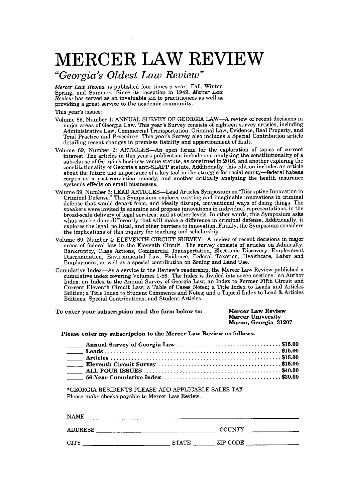## *"Georgia's Oldest Law Review"*

*Mercer Law Review* is published four times a year: Fall, Winter, Spring, and Summer. Since its inception in 1949, *Mercer Law Review* has served as an invaluable aid to practitioners as well as providing a great service to the academic community.

This year's issues:

- Volume **69,** Number **1: ANNUAL** SURVEY OF GEORGIA LAW-A review of recent decisions in major areas of Georgia Law. This year's Survey consists of eighteen survey articles, including<br>Administrative Law, Commercial Transportation, Criminal Law, Evidence, Real Property, and<br>Trial Practice and Procedure. This ye detailing recent changes in premises liability and apportionment of fault.
- Volume **69,** Number 2: ARTICLES-An open forum for the exploration of topics of current interest. The articles in this year's publication include one analyzing the constitutionality of a sub-clause of Georgia's business venue statute, as construed in **2016,** and another exploring the constitutionality of Georgia's anti-SLAPP statute. Additionally, this edition includes an article about the future and importance of a key tool in the struggle for racial equity-federal habeas corpus as a post-conviction remedy, and another critically analyzing the health insurance system's effects on small businesses.
- Volume **69,** Number **3: LEAD** ARTICLES-Lead Articles Symposium on "Disruptive Innovation in Criminal Defense." This Symposium explores existing and imaginable innovations in criminal defense that would depart from, and ideally disrupt, conventional ways of doing things. The speakers were invited to examine and propose innovations in individual representations, in the broad-scale delivery of legal services, and at other levels. In other words, this Symposium asks what can be done differently that will make a difference in criminal defense. Additionally, it explores the legal, political, and other barriers to innovation. Finally, the Symposium considers the implications of this inquiry for teaching and scholarship.
- Volume **69,** Number 4: **ELEVENTH** CIRCUIT SURVEY-A review of recent decisions in major areas of federal law in the Eleventh Circuit. The survey consists of articles on Admiralty, Bankruptcy, Class Actions, Commercial Transportation, Electronic Discovery, Employment Discrimination, Environmental Law, Evidence, Federal Taxation, Healthcare, Labor and Employment, as well as a special contribution on Zoning and Land Use.
- Cumulative Index-As a service to the Review's readership, the Mercer Law Review published a cumulative index covering Volumes **1-56.** The Index is divided into seven sections: an Author Index; an Index to the Annual Survey of Georgia Law; an Index to Former Fifth Circuit and Current Eleventh Circuit Law; a Table of Cases Noted; a Title Index to Leads and Articles Edition; a Title Index to Student Comments and Notes; and a Topical Index to Lead **&** Articles Editions, Special Contributions, and Student Articles.

| To enter your subscription mail the form below to: | <b>Mercer Law Review</b> |
|----------------------------------------------------|--------------------------|
|                                                    | <b>Mercer University</b> |
|                                                    | Macon, Georgia 31207     |

### **Please enter my subscription to the Mercer Law Review as follows:**

**\*GEORGIA** RESIDENTS **PLEASE ADD** APPLICABLE **SALES** TAX. Please make checks payable to Mercer Law Review.

| <b>NAME</b>    |       |                                      |  |
|----------------|-------|--------------------------------------|--|
| <b>ADDRESS</b> |       | COUNTY                               |  |
| <b>CITY</b>    | STATE | $\frac{1}{2}$ ZIP CODE $\frac{1}{2}$ |  |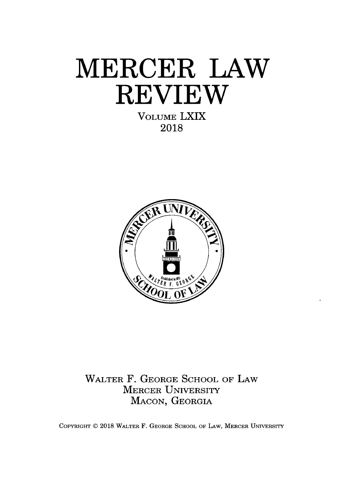**VOLUME** LXIX **2018**



WALTER F. **GEORGE SCHOOL** OF LAW MERCER UNIVERSITY **MACON, GEORGIA**

COPYRIGHT **C 2018** WALTER F. **GEORGE SCHOOL** OF LAW, MERCER UNIVERSITY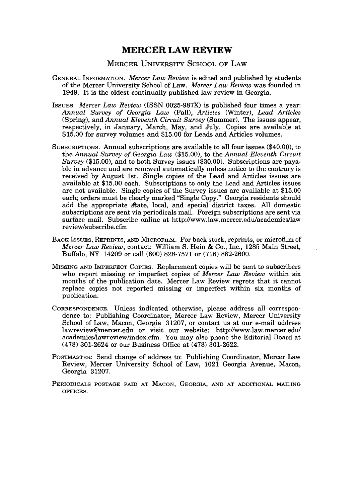## MERCER UNIVERSITY **SCHOOL** OF LAW

- **GENERAL INFORMATION.** *Mercer Law Review* is edited and published **by** students of the Mercer University School of Law. *Mercer Law Review* was founded in 1949. It is the oldest continually published law review in Georgia.
- *IssuEs. Mercer Law Review* (ISSN **0025-987X)** is published four times a year: *Annual Survey of Georgia Law (Fall), Articles* (Winter), *Lead Articles* (Spring), and *Annual Eleventh Circuit Survey* (Summer). The issues appear, respectively, in January, March, May, and July. Copies are available at **\$15.00** for survey volumes and **\$15.00** for Leads and Articles volumes.
- SUBSCRIPTIONs. Annual subscriptions are available to all four issues (\$40.00), to the *Annual Survey of Georgia Law* **(\$15.00),** to the *Annual Eleventh Circuit Survey* **(\$15.00),** and to both Survey issues **(\$30.00).** Subscriptions are payable in advance and are renewed automatically unless notice to the contrary is received **by** August 1st. Single copies of the Lead and Articles issues are available at **\$15.00** each. Subscriptions to only the Lead and Articles issues are not available. Single copies of the Survey issues are available at **\$15.00** each; orders must be clearly marked "Single Copy." Georgia residents should add the appropriate state, local, and special district taxes. All domestic subscriptions are sent via periodicals mail. Foreign subscriptions are sent via surface mail. Subscribe online at http://www.law.mercer.edulacademics/law review/subscribe.cfm
- BACK ISSUES, REPRINTS, AND MICROFILM. For back stock, reprints, or microfilm of *Mercer Law Review,* contact: William **S.** Hein **&** Co., Inc., **1285** Main Street, Buffalo, NY 14209 or call **(800) 828-7571** or **(716) 882-2600.**
- MISSING **AND IMPERFECT** COPIEs. Replacement copies will be sent to subscribers who report missing or imperfect copies of *Mercer Law Review* within six months of the publication date. Mercer Law Review regrets that it cannot replace copies not reported missing or imperfect within six months of publication.
- **CORRESPONDENCE.** Unless indicated otherwise, please address all correspondence to: Publishing Coordinator, Mercer Law Review, Mercer University School of Law, Macon, Georgia **31207,** or contact us at our e-mail address lawreview@mercer.edu or visit our website: http://www.law.mercer.edu/ academics/lawreview/index.cfm. You may also phone the Editorial Board at **(478)** 301-2624 or our Business Office at **(478) 301-2622.**
- **POSTMASTER:** Send change of address to: Publishing Coordinator, Mercer Law Review, Mercer University School of Law, 1021 Georgia Avenue, Macon, Georgia **31207.**
- **PERIODICALS POSTAGE PAID AT MACON, GEORGIA, AND AT ADDITIONAL MAILING OFFICES.**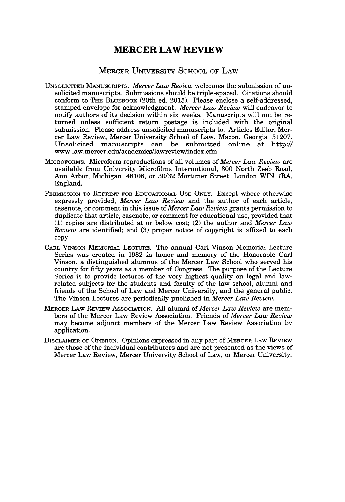### MERCER UNIVERSITY **SCHOOL** OF LAW

- **UNSOLICITED MANUSCRIPTS.** *Mercer Law Review* welcomes the submission of unsolicited manuscripts. Submissions should be triple-spaced. Citations should conform to THE **BLUEBOOK** (20th ed. **2015).** Please enclose a self-addressed, stamped envelope for acknowledgment. *Mercer Law Review* will endeavor to notify authors of its decision within six weeks. Manuscripts will not be returned unless sufficient return postage is included with the original submission. Please address unsolicited manuscripts to: Articles Editor, Mercer Law Review, Mercer University School of Law, Macon, Georgia **31207.** Unsolicited manuscripts can be submitted online at http:// www.law.mercer.edulacademics/lawreview/index.cfm
- MICROFORMS. Microform reproductions of all volumes of *Mercer Law Review are* available from University Microfilms International, **300** North Zeeb Road, Ann Arbor, Michigan 48106, or **30/32** Mortimer Street, London WIN 7RA, England.
- **PERMISSION TO** REPRINT **FOR EDUCATIONAL USE ONLY.** Except where otherwise expressly provided, *Mercer Law Review* and the author of each article, casenote, or comment in this issue of *Mercer Law Review* grants permission to duplicate that article, casenote, or comment for educational use, provided that **(1)** copies are distributed at or below cost; (2) the author and *Mercer Law Review* are identified; and **(3)** proper notice of copyright is affixed to each **copy.**
- CARL **VINSON MEMORIAL LECTURE.** The annual Carl Vinson Memorial Lecture **Series was created in 1982** in honor and memory of the Honorable Carl Vinson, a distinguished alumnus of the Mercer Law School who served his country for **fifty** years as a member of Congress. The purpose of the Lecture Series is to provide lectures of the very highest quality on legal and lawrelated subjects for the students and faculty of the law school, alumni and friends of the School of Law and Mercer University, and the general public. The Vinson Lectures are periodically published in *Mercer Law Review.*
- **MERCER** LAw REVIEw **ASSOCIATION. All** alumni of *Mercer Law Review* are members of the Mercer Law Review Association. Friends of *Mercer Law Review* may become adjunct members of the Mercer Law Review Association **by** application.
- **DISCLAIMER OF OPINION.** Opinions expressed in any part **of MERCER LAw** REVIEW are those of the individual contributors and are not presented as the views of Mercer Law Review, Mercer University School of Law, or Mercer University.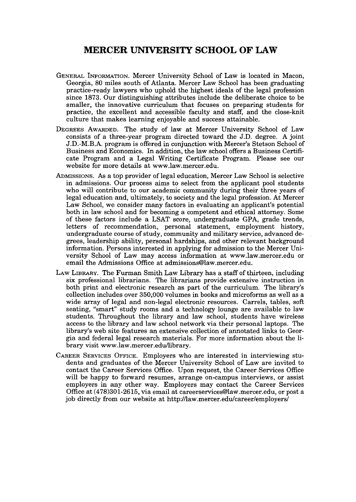## **MERCER UNIVERSITY SCHOOL OF LAW**

- **GENERAL** INFORMATION. Mercer University School of Law is located in Macon, Georgia, **80** miles south of Atlanta. Mercer Law School has been graduating practice-ready lawyers who uphold the highest ideals of the legal profession since **1873.** Our distinguishing attributes include the deliberate choice to be smaller, the innovative curriculum that focuses on preparing students for practice, the excellent and accessible faculty and staff, and the close-knit culture that makes learning enjoyable and success attainable.
- DEGREES AWARDED. The study of law at Mercer University School of Law consists of a three-year program directed toward the **J.D.** degree. **A** joint **J.D.-M.B.A.** program is offered in conjunction with Mercer's Stetson School of Business and Economics. In addition, the law school offers a Business Certificate Program and a Legal Writing Certificate Program. Please see our website for more details at www.law.mercer.edu.
- **ArDMIssIONs.** As a top provider of legal education, Mercer Law School is selective in admissions. Our process aims to select from the applicant pool students who will contribute to our academic community during their three years of legal education and, ultimately, to society and the legal profession. At Mercer Law School, we consider many factors in evaluating an applicant's potential both in law school and for becoming a competent and ethical attorney. Some of these factors include a **LSAT** score, undergraduate **GPA,** grade trends, letters of recommendation, personal statement, employment history, undergraduate course of study, community and military service, advanced degrees, leadership ability, personal hardships, and other relevant background information. Persons interested in applying for admission to the Mercer University School of Law may access information at www.law.mercer.edu or email the Admissions Office at admissions@law.mercer.edu.
- **LAw LIBRARY.** The Furman Smith Law Library has a staff of thirteen, including six professional librarians. The librarians provide extensive instruction in both print and electronic research as part of the curriculum. The library's collection includes over **350,000** volumes in books and microforms as well as a wide array of legal and non-legal electronic resources. Carrels, tables, soft seating, "smart" study rooms and a technology lounge are available to law students. Throughout the library and law school, students have wireless access to the library and law school network via their personal laptops. The library's web site features an extensive collection of annotated links to Georgia and federal legal research materials. For more information about the library visit www.law.mercer.edullibrary.
- **CAREER SERVICES OFFICE.** Employers who are interested in interviewing students and graduates of the Mercer University School of Law are invited to contact the Career Services Office. Upon request, the Career Services Office will be happy to forward resumes, arrange on-campus interviews, or assist employers in **any** other way. Employers may contact the Career Services Office at **(478)301-2615,** via email at careerservices@law.mercer.edu, or post a **job** directly from our website at http//law.mercer.edulcareer/employers/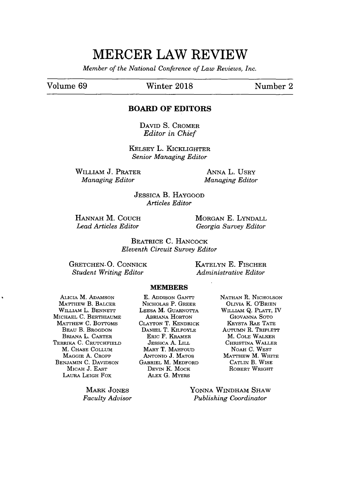*Member of the National Conference of Law Reviews, Inc.*

Volume **69** Winter **2018** Number 2

### **BOARD OF EDITORS**

**DAVID** *S.* CROMER *Editor in Chief*

KELSEY L. KICKLIGHTER *Senior Managing Editor*

WILLIAM **J.** PRATER *Managing Editor*

**ANNA** L. UsRY *Managing Editor*

**JESSICA** B. HAYGOOD *Articles Editor*

**HANNAH** M. **COUCH** *Lead Articles Editor*

MORGAN **E.** LYNDALL *Georgia Survey Editor*

BEATRICE **C. HANCOCK** *Eleventh Circuit Survey Editor*

**GRETCHEN. 0.** CONNICK *Student Writing Editor*

**KATELYN E.** FISCHER *Administrative Editor*

**MEMBERS**

ALICIA **M.** ADAMSON MATTHEW B. BALCER **WILLIAM** L. BENNEr **MICHAEL C.** BERTHIAUME **MATTHEW C. BOTTOMS** BEAU B. BROGDON BRIANA L. CARTER TERRIKA **C. CRUTCHFIELD** M. **CHASE COLLUM MAGGIE A.** CROPP **BENJAMIN C. DAVIDSON** MICAH **J. EAST** LAURA LEIGH Fox

> MARK **JONES** *Faculty Advisor*

**E. ADDISON GAN'ITr NICHOLAs** P. GREER **LEESA** M. GUARNOTrA ABRIANA HORTON CLAYTON T. KENDRICK **DANIEL** T. KILFOYLE ERIC F. KRAMER JESSICA **A.** LILL MARY T. **MAHFOUD** ANTONIO **J. MATOS** GABRIEL M. MEDFORD DEVIN K. MOCK ALEx **G.** MYERS

**NATHAN R.** NICHOLSON **OLIVIA** K. O'BRIEN WILLIAM *Q.* PLATT, IV GIOVANNA SOTO KRYsTA RAE **TATE** AUTUMN R. TRIPLETT M. **COLE** WALKER CHRISTINA WALLER NOAH **C.** WEST MATTHEW M. WHITE CATLIN B. WISE ROBERT WRIGHT

**YONNA** WINDHAM SHAW *Publishing Coordinator*